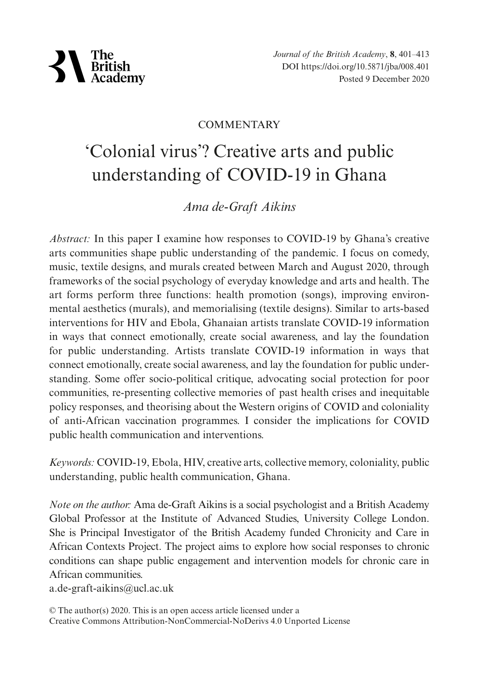

*Journal of the British Academy*, **8**, 401–413 DOI https://doi.org/10.5871/jba/008.401 Posted 9 December 2020

#### **COMMENTARY**

# 'Colonial virus'? Creative arts and public understanding of COVID-19 in Ghana

## *Ama de-Graft Aikins*

*Abstract:* In this paper I examine how responses to COVID-19 by Ghana's creative arts communities shape public understanding of the pandemic. I focus on comedy, music, textile designs, and murals created between March and August 2020, through frameworks of the social psychology of everyday knowledge and arts and health. The art forms perform three functions: health promotion (songs), improving environmental aesthetics (murals), and memorialising (textile designs). Similar to arts-based interventions for HIV and Ebola, Ghanaian artists translate COVID-19 information in ways that connect emotionally, create social awareness, and lay the foundation for public understanding. Artists translate COVID-19 information in ways that connect emotionally, create social awareness, and lay the foundation for public understanding. Some offer socio-political critique, advocating social protection for poor communities, re-presenting collective memories of past health crises and inequitable policy responses, and theorising about the Western origins of COVID and coloniality of anti-African vaccination programmes. I consider the implications for COVID public health communication and interventions.

*Keywords:* COVID-19, Ebola, HIV, creative arts, collective memory, coloniality, public understanding, public health communication, Ghana.

*Note on the author:* Ama de-Graft Aikins is a social psychologist and a British Academy Global Professor at the Institute of Advanced Studies, University College London. She is Principal Investigator of the British Academy funded Chronicity and Care in African Contexts Project. The project aims to explore how social responses to chronic conditions can shape public engagement and intervention models for chronic care in African communities.

a.de-graft-aikins@ucl.ac.uk

<sup>©</sup> The author(s) 2020. This is an open access article licensed under a Creative Commons Attribution-NonCommercial-NoDerivs 4.0 Unported License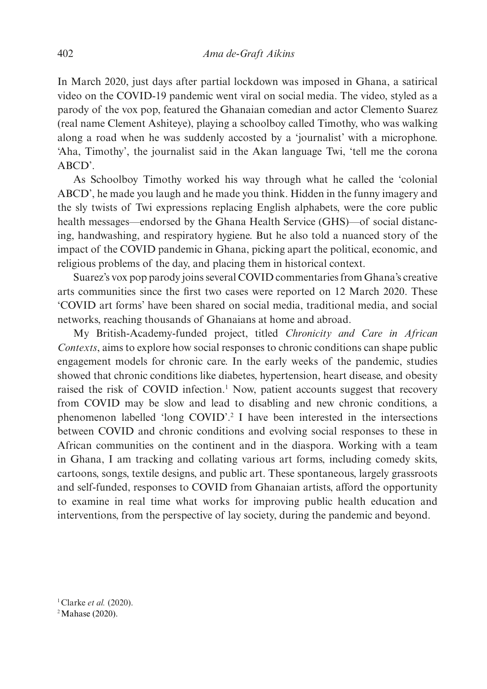In March 2020, just days after partial lockdown was imposed in Ghana, a satirical video on the COVID-19 pandemic went viral on social media. The video, styled as a parody of the vox pop, featured the Ghanaian comedian and actor Clemento Suarez (real name Clement Ashiteye), playing a schoolboy called Timothy, who was walking along a road when he was suddenly accosted by a 'journalist' with a microphone. 'Aha, Timothy', the journalist said in the Akan language Twi, 'tell me the corona ABCD'.

As Schoolboy Timothy worked his way through what he called the 'colonial ABCD', he made you laugh and he made you think. Hidden in the funny imagery and the sly twists of Twi expressions replacing English alphabets, were the core public health messages—endorsed by the Ghana Health Service (GHS)—of social distancing, handwashing, and respiratory hygiene. But he also told a nuanced story of the impact of the COVID pandemic in Ghana, picking apart the political, economic, and religious problems of the day, and placing them in historical context.

Suarez's vox pop parody joins several COVID commentaries from Ghana's creative arts communities since the first two cases were reported on 12 March 2020. These 'COVID art forms' have been shared on social media, traditional media, and social networks, reaching thousands of Ghanaians at home and abroad.

My British-Academy-funded project, titled *Chronicity and Care in African Contexts*, aims to explore how social responses to chronic conditions can shape public engagement models for chronic care. In the early weeks of the pandemic, studies showed that chronic conditions like diabetes, hypertension, heart disease, and obesity raised the risk of COVID infection.<sup>1</sup> Now, patient accounts suggest that recovery from COVID may be slow and lead to disabling and new chronic conditions, a phenomenon labelled 'long COVID'.2 I have been interested in the intersections between COVID and chronic conditions and evolving social responses to these in African communities on the continent and in the diaspora. Working with a team in Ghana, I am tracking and collating various art forms, including comedy skits, cartoons, songs, textile designs, and public art. These spontaneous, largely grassroots and self-funded, responses to COVID from Ghanaian artists, afford the opportunity to examine in real time what works for improving public health education and interventions, from the perspective of lay society, during the pandemic and beyond.

1Clarke *et al.* (2020). <sup>2</sup> Mahase (2020).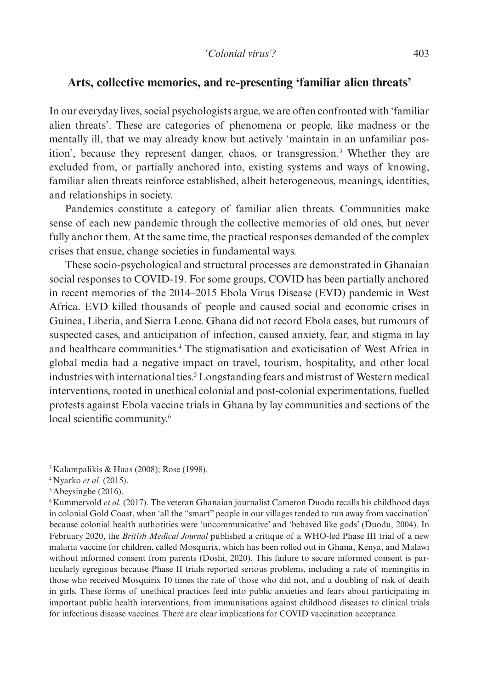### **Arts, collective memories, and re-presenting 'familiar alien threats'**

In our everyday lives, social psychologists argue, we are often confronted with 'familiar alien threats'. These are categories of phenomena or people, like madness or the mentally ill, that we may already know but actively 'maintain in an unfamiliar position', because they represent danger, chaos, or transgression.3 Whether they are excluded from, or partially anchored into, existing systems and ways of knowing, familiar alien threats reinforce established, albeit heterogeneous, meanings, identities, and relationships in society.

Pandemics constitute a category of familiar alien threats. Communities make sense of each new pandemic through the collective memories of old ones, but never fully anchor them. At the same time, the practical responses demanded of the complex crises that ensue, change societies in fundamental ways.

These socio-psychological and structural processes are demonstrated in Ghanaian social responses to COVID-19. For some groups, COVID has been partially anchored in recent memories of the 2014–2015 Ebola Virus Disease (EVD) pandemic in West Africa. EVD killed thousands of people and caused social and economic crises in Guinea, Liberia, and Sierra Leone. Ghana did not record Ebola cases, but rumours of suspected cases, and anticipation of infection, caused anxiety, fear, and stigma in lay and healthcare communities.4 The stigmatisation and exoticisation of West Africa in global media had a negative impact on travel, tourism, hospitality, and other local industries with international ties.<sup>5</sup> Longstanding fears and mistrust of Western medical interventions, rooted in unethical colonial and post-colonial experimentations, fuelled protests against Ebola vaccine trials in Ghana by lay communities and sections of the local scientific community.<sup>6</sup>

3Kalampalikis & Haas (2008); Rose (1998).

<sup>6</sup>Kummervold *et al.* (2017). The veteran Ghanaian journalist Cameron Duodu recalls his childhood days in colonial Gold Coast, when 'all the "smart" people in our villages tended to run away from vaccination' because colonial health authorities were 'uncommunicative' and 'behaved like gods' (Duodu, 2004). In February 2020, the *British Medical Journal* published a critique of a WHO-led Phase III trial of a new malaria vaccine for children, called Mosquirix, which has been rolled out in Ghana, Kenya, and Malawi without informed consent from parents (Doshi, 2020). This failure to secure informed consent is particularly egregious because Phase II trials reported serious problems, including a rate of meningitis in those who received Mosquirix 10 times the rate of those who did not, and a doubling of risk of death in girls. These forms of unethical practices feed into public anxieties and fears about participating in important public health interventions, from immunisations against childhood diseases to clinical trials for infectious disease vaccines. There are clear implications for COVID vaccination acceptance.

<sup>4</sup>Nyarko *et al.* (2015).

 $5$ Abeysinghe (2016).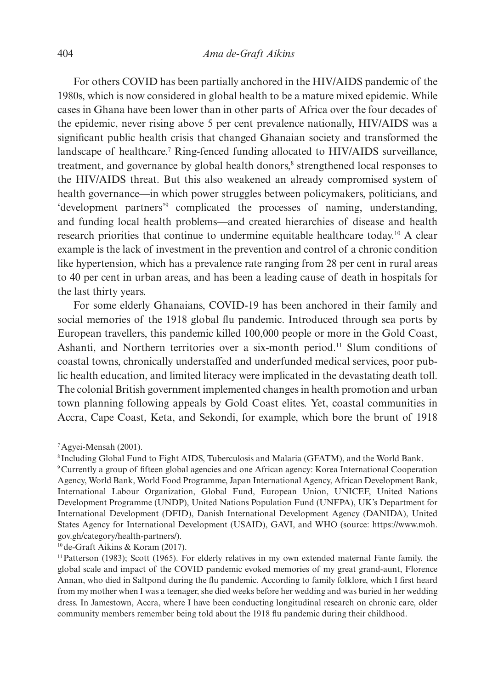For others COVID has been partially anchored in the HIV/AIDS pandemic of the 1980s, which is now considered in global health to be a mature mixed epidemic. While cases in Ghana have been lower than in other parts of Africa over the four decades of the epidemic, never rising above 5 per cent prevalence nationally, HIV/AIDS was a significant public health crisis that changed Ghanaian society and transformed the landscape of healthcare.<sup>7</sup> Ring-fenced funding allocated to HIV/AIDS surveillance, treatment, and governance by global health donors,<sup>8</sup> strengthened local responses to the HIV/AIDS threat. But this also weakened an already compromised system of health governance—in which power struggles between policymakers, politicians, and 'development partners'9 complicated the processes of naming, understanding, and funding local health problems—and created hierarchies of disease and health research priorities that continue to undermine equitable healthcare today.<sup>10</sup> A clear example is the lack of investment in the prevention and control of a chronic condition like hypertension, which has a prevalence rate ranging from 28 per cent in rural areas to 40 per cent in urban areas, and has been a leading cause of death in hospitals for the last thirty years.

For some elderly Ghanaians, COVID-19 has been anchored in their family and social memories of the 1918 global flu pandemic. Introduced through sea ports by European travellers, this pandemic killed 100,000 people or more in the Gold Coast, Ashanti, and Northern territories over a six-month period.11 Slum conditions of coastal towns, chronically understaffed and underfunded medical services, poor public health education, and limited literacy were implicated in the devastating death toll. The colonial British government implemented changes in health promotion and urban town planning following appeals by Gold Coast elites. Yet, coastal communities in Accra, Cape Coast, Keta, and Sekondi, for example, which bore the brunt of 1918

10de-Graft Aikins & Koram (2017).

11Patterson (1983); Scott (1965). For elderly relatives in my own extended maternal Fante family, the global scale and impact of the COVID pandemic evoked memories of my great grand-aunt, Florence Annan, who died in Saltpond during the flu pandemic. According to family folklore, which I first heard from my mother when I was a teenager, she died weeks before her wedding and was buried in her wedding dress. In Jamestown, Accra, where I have been conducting longitudinal research on chronic care, older community members remember being told about the 1918 flu pandemic during their childhood.

<sup>7</sup>Agyei-Mensah (2001).

<sup>8</sup> Including Global Fund to Fight AIDS, Tuberculosis and Malaria (GFATM), and the World Bank.

<sup>9</sup>Currently a group of fifteen global agencies and one African agency: Korea International Cooperation Agency, World Bank, World Food Programme, Japan International Agency, African Development Bank, International Labour Organization, Global Fund, European Union, UNICEF, United Nations Development Programme (UNDP), United Nations Population Fund (UNFPA), UK's Department for International Development (DFID), Danish International Development Agency (DANIDA), United States Agency for International Development (USAID), GAVI, and WHO (source: https://www.moh. gov.gh/category/health-partners/).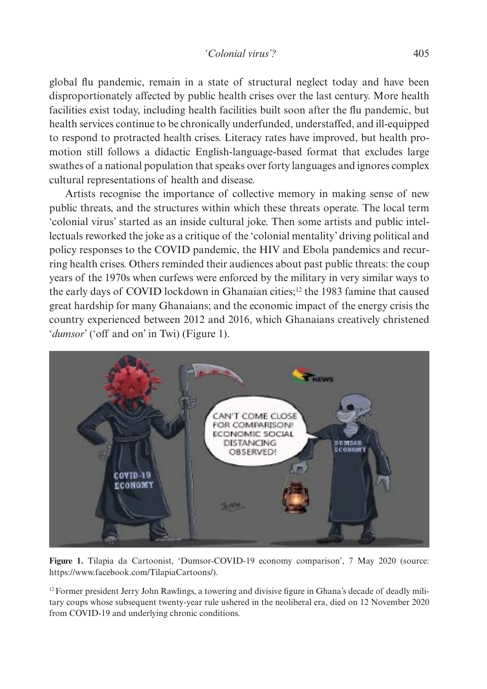global flu pandemic, remain in a state of structural neglect today and have been disproportionately affected by public health crises over the last century. More health facilities exist today, including health facilities built soon after the flu pandemic, but health services continue to be chronically underfunded, understaffed, and ill-equipped to respond to protracted health crises. Literacy rates have improved, but health promotion still follows a didactic English-language-based format that excludes large swathes of a national population that speaks over forty languages and ignores complex cultural representations of health and disease.

Artists recognise the importance of collective memory in making sense of new public threats, and the structures within which these threats operate. The local term 'colonial virus' started as an inside cultural joke. Then some artists and public intellectuals reworked the joke as a critique of the 'colonial mentality' driving political and policy responses to the COVID pandemic, the HIV and Ebola pandemics and recurring health crises. Others reminded their audiences about past public threats: the coup years of the 1970s when curfews were enforced by the military in very similar ways to the early days of COVID lockdown in Ghanaian cities;12 the 1983 famine that caused great hardship for many Ghanaians; and the economic impact of the energy crisis the country experienced between 2012 and 2016, which Ghanaians creatively christened '*dumsor*' ('off and on' in Twi) (Figure 1).



**Figure 1.** Tilapia da Cartoonist, 'Dumsor-COVID-19 economy comparison', 7 May 2020 (source: https://www.facebook.com/TilapiaCartoons/).

<sup>12</sup> Former president Jerry John Rawlings, a towering and divisive figure in Ghana's decade of deadly military coups whose subsequent twenty-year rule ushered in the neoliberal era, died on 12 November 2020 from COVID-19 and underlying chronic conditions.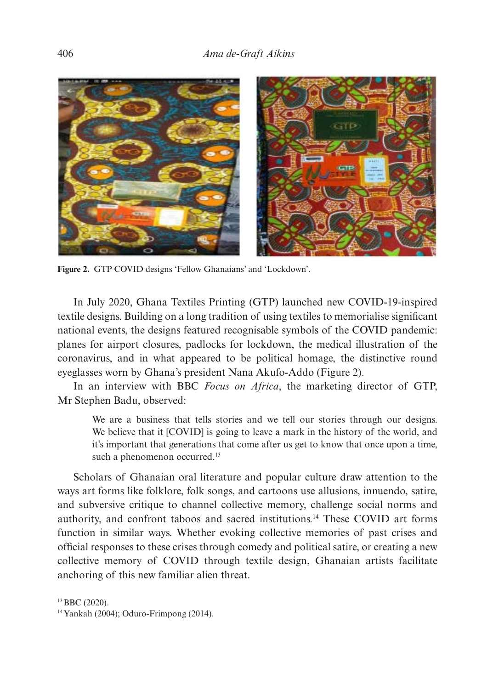

**Figure 2.** GTP COVID designs 'Fellow Ghanaians' and 'Lockdown'.

In July 2020, Ghana Textiles Printing (GTP) launched new COVID-19-inspired textile designs. Building on a long tradition of using textiles to memorialise significant national events, the designs featured recognisable symbols of the COVID pandemic: planes for airport closures, padlocks for lockdown, the medical illustration of the coronavirus, and in what appeared to be political homage, the distinctive round eyeglasses worn by Ghana's president Nana Akufo-Addo (Figure 2).

In an interview with BBC *Focus on Africa*, the marketing director of GTP, Mr Stephen Badu, observed:

We are a business that tells stories and we tell our stories through our designs. We believe that it  $[COVID]$  is going to leave a mark in the history of the world, and it's important that generations that come after us get to know that once upon a time, such a phenomenon occurred.<sup>13</sup>

Scholars of Ghanaian oral literature and popular culture draw attention to the ways art forms like folklore, folk songs, and cartoons use allusions, innuendo, satire, and subversive critique to channel collective memory, challenge social norms and authority, and confront taboos and sacred institutions.14 These COVID art forms function in similar ways. Whether evoking collective memories of past crises and official responses to these crises through comedy and political satire, or creating a new collective memory of COVID through textile design, Ghanaian artists facilitate anchoring of this new familiar alien threat.

13BBC (2020).

14Yankah (2004); Oduro-Frimpong (2014).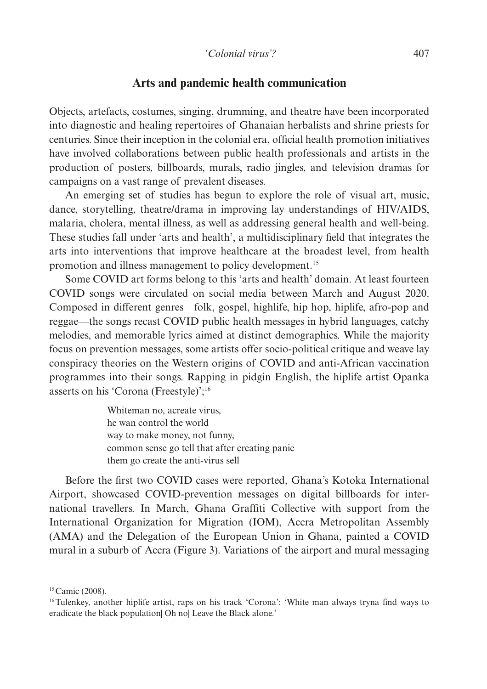#### **Arts and pandemic health communication**

Objects, artefacts, costumes, singing, drumming, and theatre have been incorporated into diagnostic and healing repertoires of Ghanaian herbalists and shrine priests for centuries. Since their inception in the colonial era, official health promotion initiatives have involved collaborations between public health professionals and artists in the production of posters, billboards, murals, radio jingles, and television dramas for campaigns on a vast range of prevalent diseases.

An emerging set of studies has begun to explore the role of visual art, music, dance, storytelling, theatre/drama in improving lay understandings of HIV/AIDS, malaria, cholera, mental illness, as well as addressing general health and well-being. These studies fall under 'arts and health', a multidisciplinary field that integrates the arts into interventions that improve healthcare at the broadest level, from health promotion and illness management to policy development.<sup>15</sup>

Some COVID art forms belong to this 'arts and health' domain. At least fourteen COVID songs were circulated on social media between March and August 2020. Composed in different genres—folk, gospel, highlife, hip hop, hiplife, afro-pop and reggae—the songs recast COVID public health messages in hybrid languages, catchy melodies, and memorable lyrics aimed at distinct demographics. While the majority focus on prevention messages, some artists offer socio-political critique and weave lay conspiracy theories on the Western origins of COVID and anti-African vaccination programmes into their songs. Rapping in pidgin English, the hiplife artist Opanka asserts on his 'Corona (Freestyle)';16

> Whiteman no, acreate virus, he wan control the world way to make money, not funny, common sense go tell that after creating panic them go create the anti-virus sell

Before the first two COVID cases were reported, Ghana's Kotoka International Airport, showcased COVID-prevention messages on digital billboards for international travellers. In March, Ghana Graffiti Collective with support from the International Organization for Migration (IOM), Accra Metropolitan Assembly (AMA) and the Delegation of the European Union in Ghana, painted a COVID mural in a suburb of Accra (Figure 3). Variations of the airport and mural messaging

<sup>&</sup>lt;sup>15</sup> Camic (2008).

<sup>16</sup>Tulenkey, another hiplife artist, raps on his track 'Corona': 'White man always tryna find ways to eradicate the black population| Oh no| Leave the Black alone.'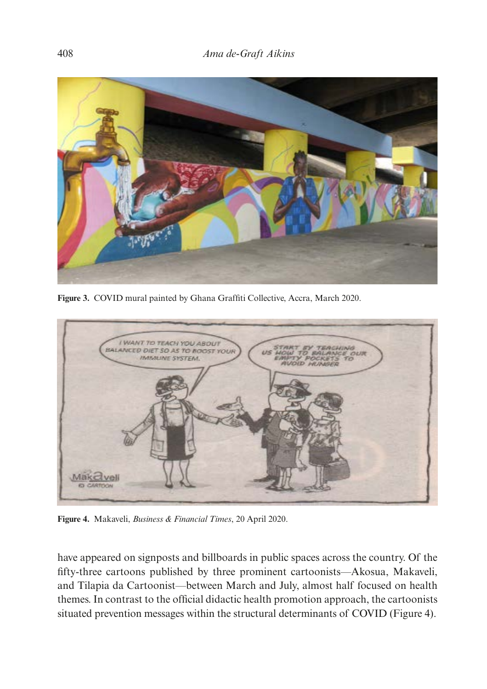

**Figure 3.** COVID mural painted by Ghana Graffiti Collective, Accra, March 2020.



**Figure 4.** Makaveli, *Business & Financial Times*, 20 April 2020.

have appeared on signposts and billboards in public spaces across the country. Of the fifty-three cartoons published by three prominent cartoonists—Akosua, Makaveli, and Tilapia da Cartoonist—between March and July, almost half focused on health themes. In contrast to the official didactic health promotion approach, the cartoonists situated prevention messages within the structural determinants of COVID (Figure 4).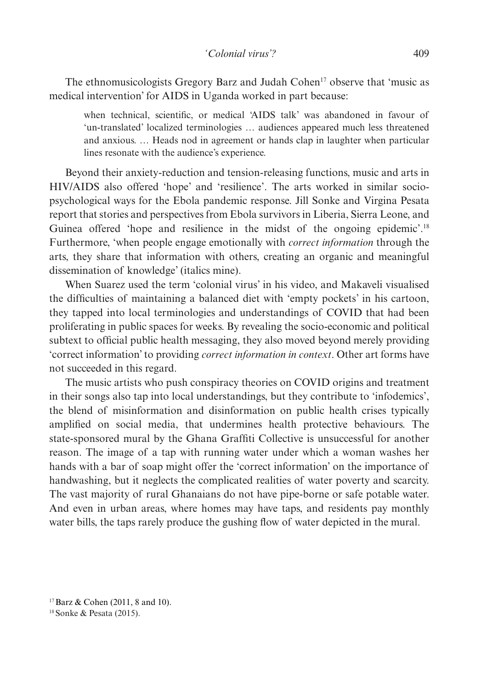The ethnomusicologists Gregory Barz and Judah Cohen<sup>17</sup> observe that 'music as medical intervention' for AIDS in Uganda worked in part because:

when technical, scientific, or medical 'AIDS talk' was abandoned in favour of 'un-translated' localized terminologies … audiences appeared much less threatened and anxious. … Heads nod in agreement or hands clap in laughter when particular lines resonate with the audience's experience.

Beyond their anxiety-reduction and tension-releasing functions, music and arts in HIV/AIDS also offered 'hope' and 'resilience'. The arts worked in similar sociopsychological ways for the Ebola pandemic response. Jill Sonke and Virgina Pesata report that stories and perspectives from Ebola survivors in Liberia, Sierra Leone, and Guinea offered 'hope and resilience in the midst of the ongoing epidemic'.<sup>18</sup> Furthermore, 'when people engage emotionally with *correct information* through the arts, they share that information with others, creating an organic and meaningful dissemination of knowledge' (italics mine).

When Suarez used the term 'colonial virus' in his video, and Makaveli visualised the difficulties of maintaining a balanced diet with 'empty pockets' in his cartoon, they tapped into local terminologies and understandings of COVID that had been proliferating in public spaces for weeks. By revealing the socio-economic and political subtext to official public health messaging, they also moved beyond merely providing 'correct information' to providing *correct information in context*. Other art forms have not succeeded in this regard.

The music artists who push conspiracy theories on COVID origins and treatment in their songs also tap into local understandings, but they contribute to 'infodemics', the blend of misinformation and disinformation on public health crises typically amplified on social media, that undermines health protective behaviours. The state-sponsored mural by the Ghana Graffiti Collective is unsuccessful for another reason. The image of a tap with running water under which a woman washes her hands with a bar of soap might offer the 'correct information' on the importance of handwashing, but it neglects the complicated realities of water poverty and scarcity. The vast majority of rural Ghanaians do not have pipe-borne or safe potable water. And even in urban areas, where homes may have taps, and residents pay monthly water bills, the taps rarely produce the gushing flow of water depicted in the mural.

17Barz & Cohen (2011, 8 and 10).

<sup>18</sup>Sonke & Pesata (2015).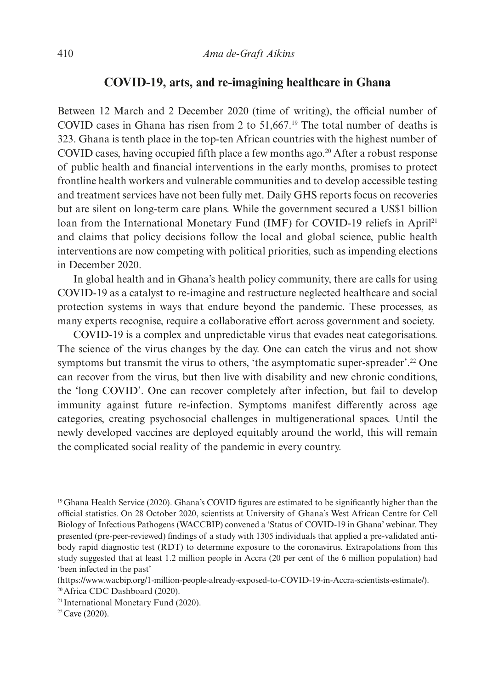#### **COVID-19, arts, and re-imagining healthcare in Ghana**

Between 12 March and 2 December 2020 (time of writing), the official number of COVID cases in Ghana has risen from 2 to 51,667.19 The total number of deaths is 323. Ghana is tenth place in the top-ten African countries with the highest number of COVID cases, having occupied fifth place a few months ago.<sup>20</sup> After a robust response of public health and financial interventions in the early months, promises to protect frontline health workers and vulnerable communities and to develop accessible testing and treatment services have not been fully met. Daily GHS reports focus on recoveries but are silent on long-term care plans. While the government secured a US\$1 billion loan from the International Monetary Fund (IMF) for COVID-19 reliefs in April<sup>21</sup> and claims that policy decisions follow the local and global science, public health interventions are now competing with political priorities, such as impending elections in December 2020.

In global health and in Ghana's health policy community, there are calls for using COVID-19 as a catalyst to re-imagine and restructure neglected healthcare and social protection systems in ways that endure beyond the pandemic. These processes, as many experts recognise, require a collaborative effort across government and society.

COVID-19 is a complex and unpredictable virus that evades neat categorisations. The science of the virus changes by the day. One can catch the virus and not show symptoms but transmit the virus to others, 'the asymptomatic super-spreader'.<sup>22</sup> One can recover from the virus, but then live with disability and new chronic conditions, the 'long COVID'. One can recover completely after infection, but fail to develop immunity against future re-infection. Symptoms manifest differently across age categories, creating psychosocial challenges in multigenerational spaces. Until the newly developed vaccines are deployed equitably around the world, this will remain the complicated social reality of the pandemic in every country.

(https://www.wacbip.org/1-million-people-already-exposed-to-COVID-19-in-Accra-scientists-estimate/). 20Africa CDC Dashboard (2020).

<sup>21</sup> International Monetary Fund (2020).<br><sup>22</sup> Cave (2020).

<sup>19</sup>Ghana Health Service (2020). Ghana's COVID figures are estimated to be significantly higher than the official statistics. On 28 October 2020, scientists at University of Ghana's West African Centre for Cell Biology of Infectious Pathogens (WACCBIP) convened a 'Status of COVID-19 in Ghana' webinar. They presented (pre-peer-reviewed) findings of a study with 1305 individuals that applied a pre-validated antibody rapid diagnostic test (RDT) to determine exposure to the coronavirus. Extrapolations from this study suggested that at least 1.2 million people in Accra (20 per cent of the 6 million population) had 'been infected in the past'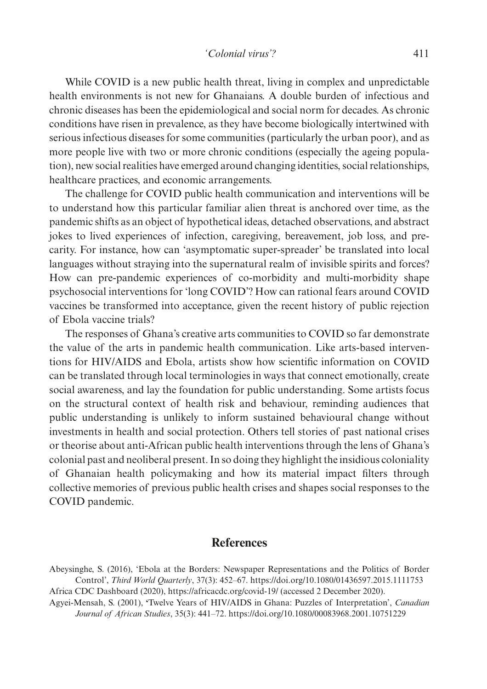While COVID is a new public health threat, living in complex and unpredictable health environments is not new for Ghanaians. A double burden of infectious and chronic diseases has been the epidemiological and social norm for decades. As chronic conditions have risen in prevalence, as they have become biologically intertwined with serious infectious diseases for some communities (particularly the urban poor), and as more people live with two or more chronic conditions (especially the ageing population), new social realities have emerged around changing identities, social relationships, healthcare practices, and economic arrangements.

The challenge for COVID public health communication and interventions will be to understand how this particular familiar alien threat is anchored over time, as the pandemic shifts as an object of hypothetical ideas, detached observations, and abstract jokes to lived experiences of infection, caregiving, bereavement, job loss, and precarity. For instance, how can 'asymptomatic super-spreader' be translated into local languages without straying into the supernatural realm of invisible spirits and forces? How can pre-pandemic experiences of co-morbidity and multi-morbidity shape psychosocial interventions for 'long COVID'? How can rational fears around COVID vaccines be transformed into acceptance, given the recent history of public rejection of Ebola vaccine trials?

The responses of Ghana's creative arts communities to COVID so far demonstrate the value of the arts in pandemic health communication. Like arts-based interventions for HIV/AIDS and Ebola, artists show how scientific information on COVID can be translated through local terminologies in ways that connect emotionally, create social awareness, and lay the foundation for public understanding. Some artists focus on the structural context of health risk and behaviour, reminding audiences that public understanding is unlikely to inform sustained behavioural change without investments in health and social protection. Others tell stories of past national crises or theorise about anti-African public health interventions through the lens of Ghana's colonial past and neoliberal present. In so doing they highlight the insidious coloniality of Ghanaian health policymaking and how its material impact filters through collective memories of previous public health crises and shapes social responses to the COVID pandemic.

### **References**

Abeysinghe, S. (2016), 'Ebola at the Borders: Newspaper Representations and the Politics of Border Control', *Third World Quarterly*, 37(3): 452–67. https://doi.org/10.1080/01436597.2015.1111753 Africa CDC Dashboard (2020), https://africacdc.org/covid-19/ (accessed 2 December 2020).

Agyei-Mensah, S. (2001), **'**Twelve Years of HIV/AIDS in Ghana: Puzzles of Interpretation', *Canadian Journal of African Studies*, 35(3): 441–72. https://doi.org/10.1080/00083968.2001.10751229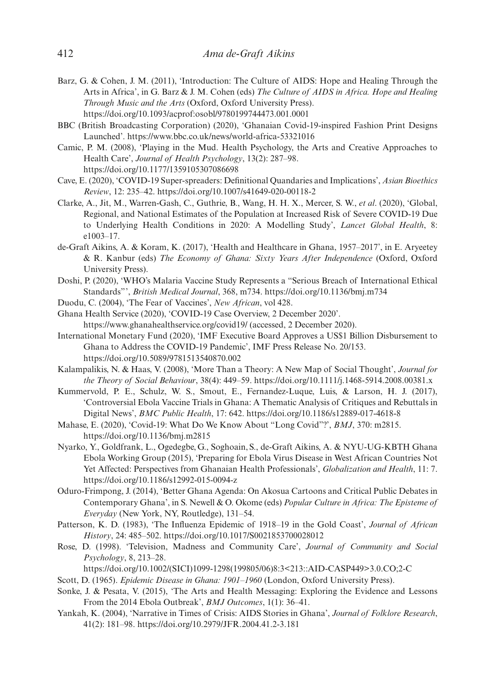- Barz, G. & Cohen, J. M. (2011), 'Introduction: The Culture of AIDS: Hope and Healing Through the Arts in Africa', in G. Barz & J. M. Cohen (eds) *The Culture of AIDS in Africa. Hope and Healing Through Music and the Arts* (Oxford, Oxford University Press). https://doi.org/10.1093/acprof:osobl/9780199744473.001.0001
- BBC (British Broadcasting Corporation) (2020), 'Ghanaian Covid-19-inspired Fashion Print Designs Launched'. https://www.bbc.co.uk/news/world-africa-53321016
- Camic, P. M. (2008), 'Playing in the Mud. Health Psychology, the Arts and Creative Approaches to Health Care', *Journal of Health Psychology*, 13(2): 287–98. https://doi.org/10.1177/1359105307086698
- Cave, E. (2020), 'COVID-19 Super-spreaders: Definitional Quandaries and Implications', *Asian Bioethics Review*, 12: 235–42. https://doi.org/10.1007/s41649-020-00118-2
- Clarke, A., Jit, M., Warren-Gash, C., Guthrie, B., Wang, H. H. X., Mercer, S. W., *et al*. (2020), 'Global, Regional, and National Estimates of the Population at Increased Risk of Severe COVID-19 Due to Underlying Health Conditions in 2020: A Modelling Study', *Lancet Global Health*, 8: e1003–17.
- de-Graft Aikins, A. & Koram, K. (2017), 'Health and Healthcare in Ghana, 1957–2017', in E. Aryeetey & R. Kanbur (eds) *The Economy of Ghana: Sixty Years After Independence* (Oxford, Oxford University Press).
- Doshi, P. (2020), 'WHO's Malaria Vaccine Study Represents a "Serious Breach of International Ethical Standards"', *British Medical Journal*, 368, m734. https://doi.org/10.1136/bmj.m734
- Duodu, C. (2004), 'The Fear of Vaccines', *New African*, vol 428.
- Ghana Health Service (2020), 'COVID-19 Case Overview, 2 December 2020'. https://www.ghanahealthservice.org/covid19/ (accessed, 2 December 2020).
- International Monetary Fund (2020), 'IMF Executive Board Approves a US\$1 Billion Disbursement to Ghana to Address the COVID-19 Pandemic', IMF Press Release No. 20/153. https://doi.org/10.5089/9781513540870.002
- Kalampalikis, N. & Haas, V. (2008), 'More Than a Theory: A New Map of Social Thought', *Journal for the Theory of Social Behaviour*, 38(4): 449–59. https://doi.org/10.1111/j.1468-5914.2008.00381.x
- Kummervold, P. E., Schulz, W. S., Smout, E., Fernandez-Luque, Luis, & Larson, H. J. (2017), 'Controversial Ebola Vaccine Trials in Ghana: A Thematic Analysis of Critiques and Rebuttals in Digital News', *BMC Public Health*, 17: 642. https://doi.org/10.1186/s12889-017-4618-8
- Mahase, E. (2020), 'Covid-19: What Do We Know About "Long Covid"?', *BMJ*, 370: m2815. https://doi.org/10.1136/bmj.m2815
- Nyarko, Y., Goldfrank, L., Ogedegbe, G., Soghoain, S., de-Graft Aikins, A. & NYU-UG-KBTH Ghana Ebola Working Group (2015), 'Preparing for Ebola Virus Disease in West African Countries Not Yet Affected: Perspectives from Ghanaian Health Professionals', *Globalization and Health*, 11: 7. https://doi.org/10.1186/s12992-015-0094-z
- Oduro-Frimpong, J. (2014), 'Better Ghana Agenda: On Akosua Cartoons and Critical Public Debates in Contemporary Ghana', in S. Newell & O. Okome (eds) *Popular Culture in Africa: The Episteme of Everyday* (New York, NY, Routledge), 131–54.
- Patterson, K. D. (1983), 'The Influenza Epidemic of 1918–19 in the Gold Coast', *Journal of African History*, 24: 485–502. https://doi.org/10.1017/S0021853700028012
- Rose, D. (1998). 'Television, Madness and Community Care', *Journal of Community and Social Psychology*, 8, 213–28.
	- https://doi.org/10.1002/(SICI)1099-1298(199805/06)8:3<213::AID-CASP449>3.0.CO;2-C
- Scott, D. (1965). *Epidemic Disease in Ghana: 1901–1960* (London, Oxford University Press).
- Sonke, J. & Pesata, V. (2015), 'The Arts and Health Messaging: Exploring the Evidence and Lessons From the 2014 Ebola Outbreak', *BMJ Outcomes*, 1(1): 36–41.
- Yankah, K. (2004), 'Narrative in Times of Crisis: AIDS Stories in Ghana', *Journal of Folklore Research*, 41(2): 181–98. https://doi.org/10.2979/JFR.2004.41.2-3.181